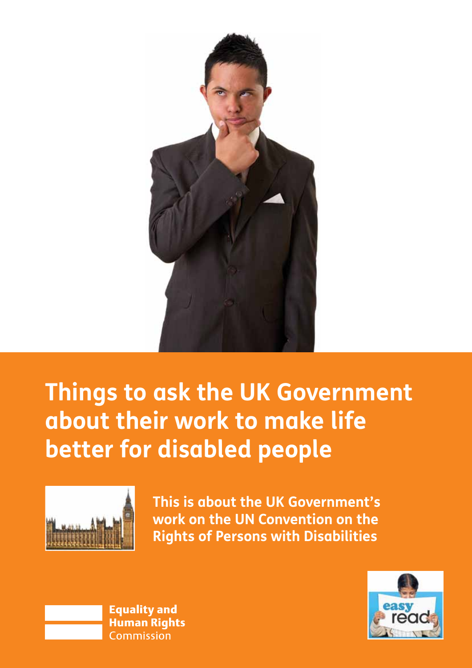

# **Things to ask the UK Government about their work to make life better for disabled people**



**This is about the UK Government's work on the UN Convention on the Rights of Persons with Disabilities** 



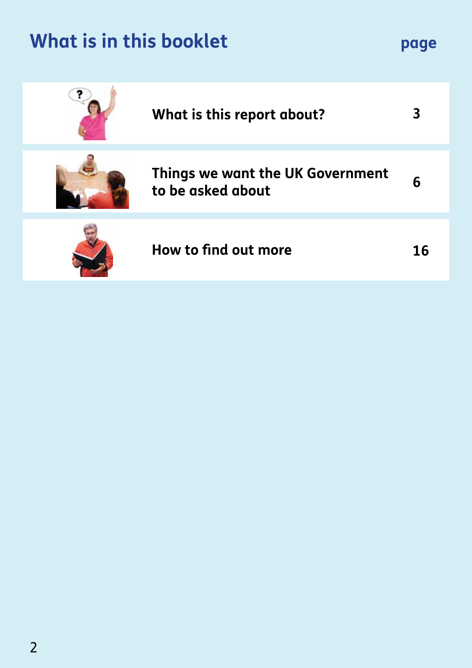# **What is in this booklet page**

| What is this report about?                            | 3  |
|-------------------------------------------------------|----|
| Things we want the UK Government<br>to be asked about | 6  |
| How to find out more                                  | 16 |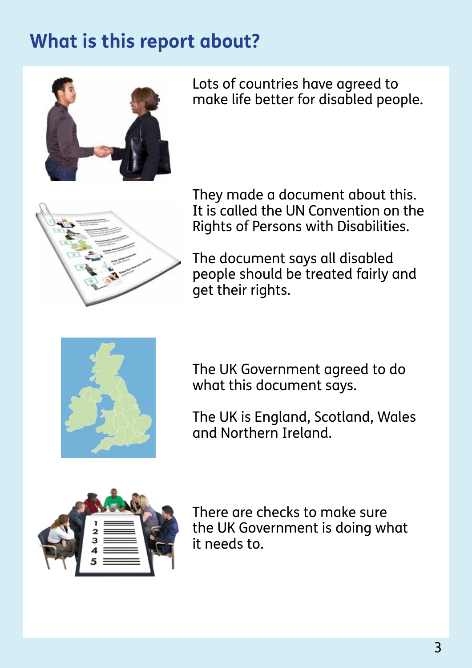# **What is this report about?**



Lots of countries have agreed to make life better for disabled people.



Rights of Persons with Disabilities. They made a document about this. It is called the UN Convention on the

The document says all disabled people should be treated fairly and get their rights.



The UK Government agreed to do what this document says.

The UK is England, Scotland, Wales **Committee**. and Northern Ireland.



it needs to. There are checks to make sure the UK Government is doing what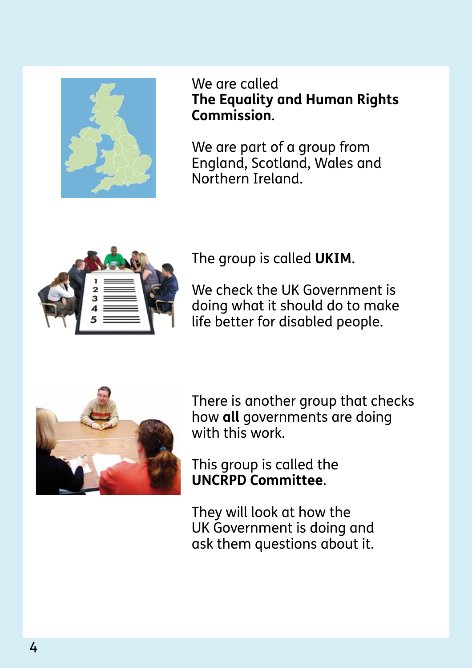

We are called **The Equality and Human Rights Commission**.

We are part of a group from England, Scotland, Wales and Northern Ireland.



The group is called **UKIM**.

We check the UK Government is doing what it should do to make life better for disabled people.



There is another group that checks how **all** governments are doing with this work.

This group is called the **UNCRPD Committee**.

ask them questions about it. They will look at how the UK Government is doing and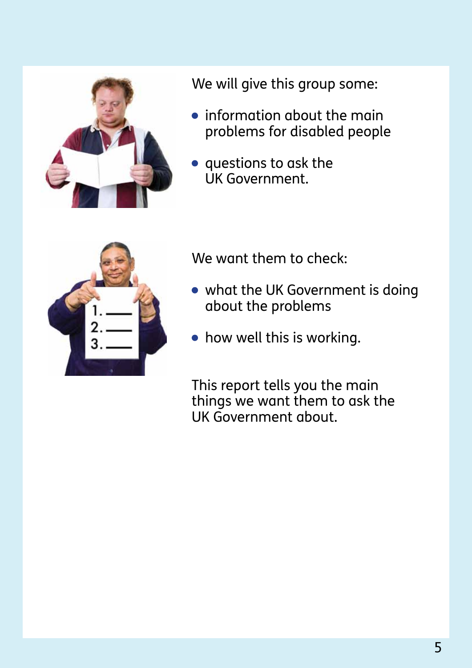

We will give this group some:

- **•** information about the main problems for disabled people
- $\bullet$  questions to ask the UK Government.



We want them to check:  $\hspace{0.1mm}$ 

- $\bullet\,$  what the UK Government is doing about the problems
- how well this is working.

This report tells you the main UK Government about. things we want them to ask the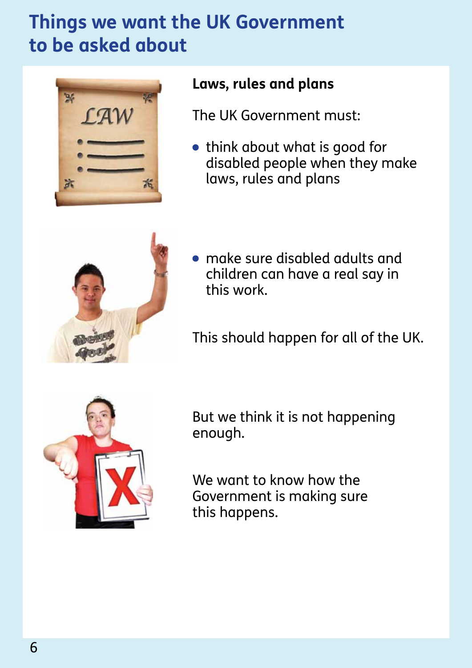# **to be asked about Things we want the UK Government**



## Laws, rules and plans

The UK Government must:

 think about what is good for disabled people when they make laws, rules and plans



 $\bullet\,$  make sure disabled adults and this work. children can have a real say in

This should happen for all of the UK.



But we think it is not happening enough.

We want to know how the Government is making sure this happens.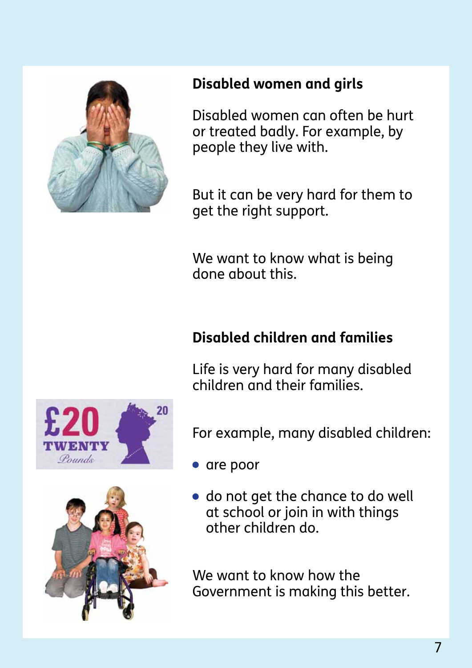

## **Disabled women and girls**

Disabled women can often be hurt people they live with.  $\hspace{0.2cm}$ or treated badly. For example, by

But it can be very hard for them to get the right support.

We want to know what is being done about this. The make life  $\sim$ 

# **Disabled children and families**

Life is very hard for many disabled children and their families.

For example, many disabled children:

 $\bullet$  are poor

 $\bullet$  do not get the chance to do well at school or join in with things other children do.

We want to know how the Government is making this better.



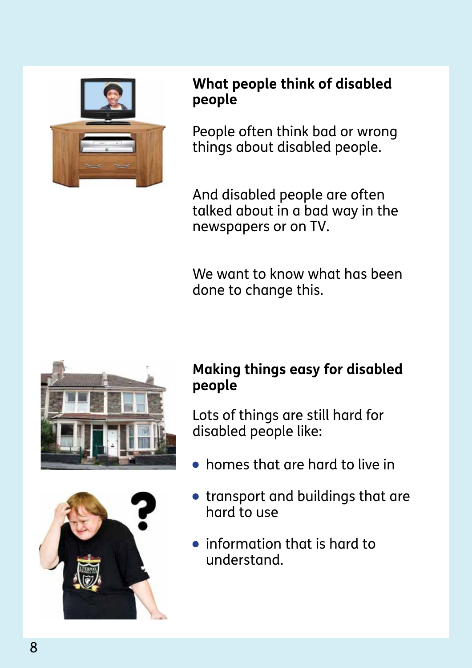

#### **What people think of disabled** agreed to make life better for **people**

People often think bad or wrong things about disabled people.

newspapers or on TV. And disabled people are often talked about in a bad way in the

done to change this.  $\hspace{0.2cm}$ We want to know what has been





## **Making things easy for disabled people**

Lots of things are still hard for disabled people like:

- $\bullet$  homes that are hard to live in
- transport and buildings that are hard to use
- $\bullet\,$  information that is hard to understand. The UK Government is done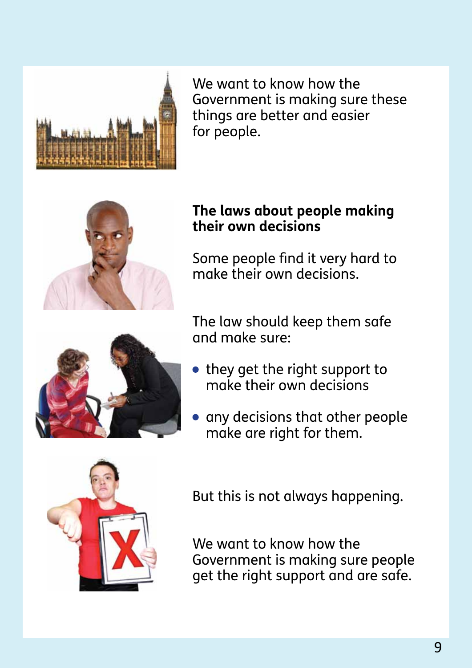

We want to know how the Government is making sure these **Commission**. things are better and easier for people.



#### The group is called **UKIM**. **their own decisions The laws about people making**

Some people find it very hard to<br>make their own decisions. make their own decisions.



The law should keep them safe and make sure:

- $\bullet\,$  they get the right support to make their own decisions
- **•** any decisions that other people **Committee**. make are right for them.



But this is not always happening.

We want to know how the Government is making sure people get the right support and are safe.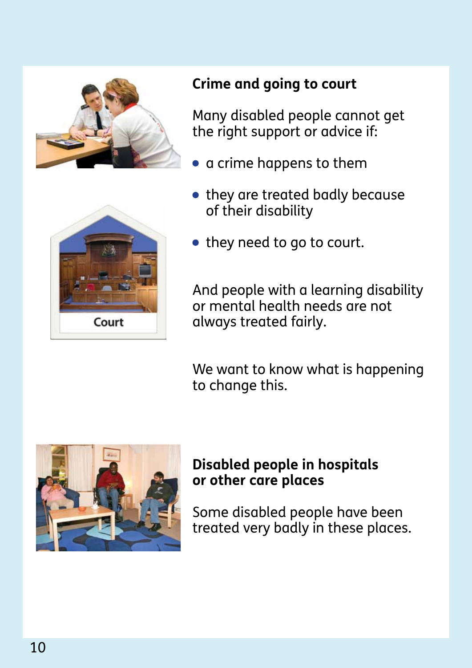



# **Crime and going to court**

Many disabled people cannot get the right support or advice if:

- a crime happens to them
- they are treated badly because of their disability
- $\bullet\,$  they need to go to court.

And people with a learning disability or mental health needs are not always treated fairly.

We want to know what is happening to change this.



#### **Disabled people in hospitals or other care places**

Some disabled people have been treated very badly in these places.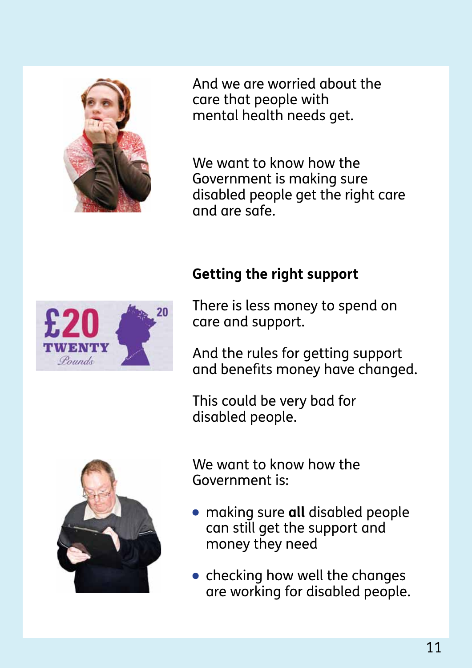

And we are worried about the care that people with **Commission**. mental health needs get.

We want to know how the Government is making sure disabled people get the right care and are safe.

## **Getting the right support**  $\qquad \qquad$



There is less money to spend on care and support.

And the rules for getting support and benefits money have changed.

disabled people.  $\blacksquare$ This could be very bad for



We want to know how the Government is: **Example a** 

- money they need **compare**  making sure **all** disabled people can still get the support and
- $\,$  checking how well the changes are working for disabled people.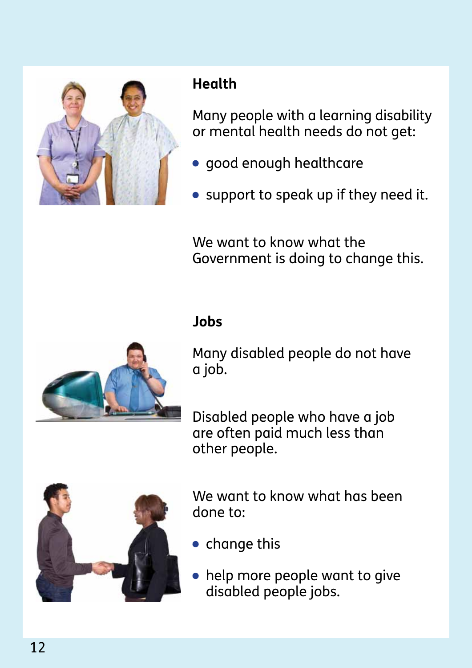

# **Health Health**

Many people with a learning disability or mental health needs do not get:

- good enough healthcare
- support to speak up if they need it.

We want to know what the Government is doing to change this.

#### get their rights. **Jobs**



Many disabled people do not have a job.

Disabled people who have a job other people. The UK is easily contained a set of the UK is a set of the UK is a set of the UK is a set of the are often paid much less than



We want to know what has been done to:

- $\bullet\,$  change this  $\qquad \bullet\,$
- $\bullet\,$  help more people want to give disabled people jobs.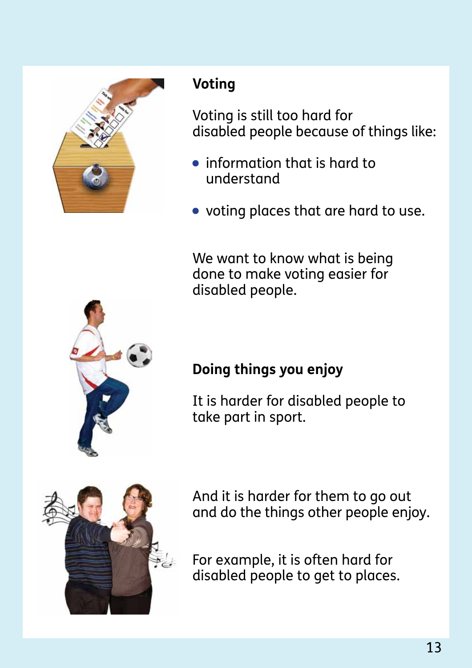

# **Voting**

**Commission**. Voting is still too hard for disabled people because of things like:

- $\bullet\,$  information that is hard to understand
- voting places that are hard to use.

We want to know what is being done to make voting easier for disabled people.

# **Doing things you enjoy** and are doing things are doing that  $\alpha$

take part in sport.  $\blacksquare$ It is harder for disabled people to



And it is harder for them to go out and do the things other people enjoy.

For example, it is often hard for disabled people to get to places.

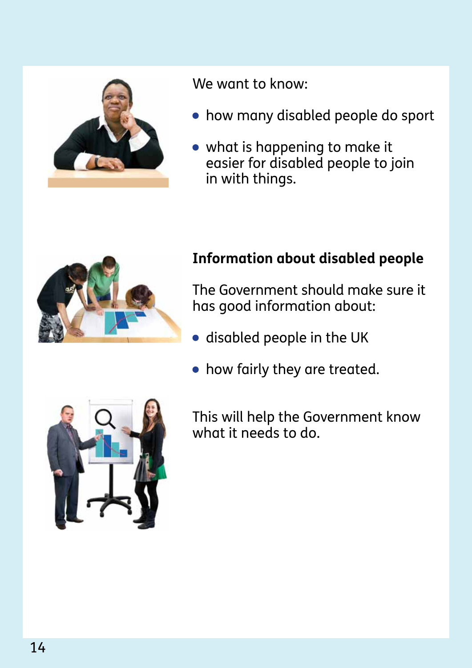

We want to know:

- $\bullet\,$  how many disabled people do sport
- what is happening to make it easier for disabled people to join in with things.



## **Information about disabled people**

The Government should make sure it has good information about:

- disabled people in the UK
- how fairly they are treated.

This will help the Government know what it needs to do.

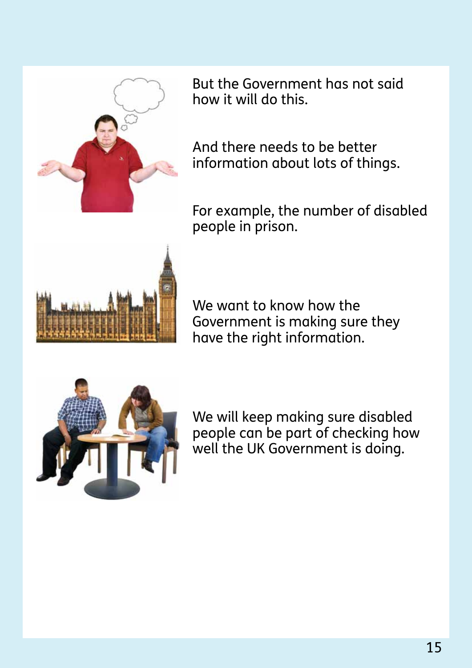

But the Government has not said **The Equality and Human Rights**  how it will do this.

And there needs to be better information about lots of things.

people in prison. For example, the number of disabled



We want to know how the Government is making sure they have the right information.



We will keep making sure disabled **Committee**. people can be part of checking how well the UK Government is doing.